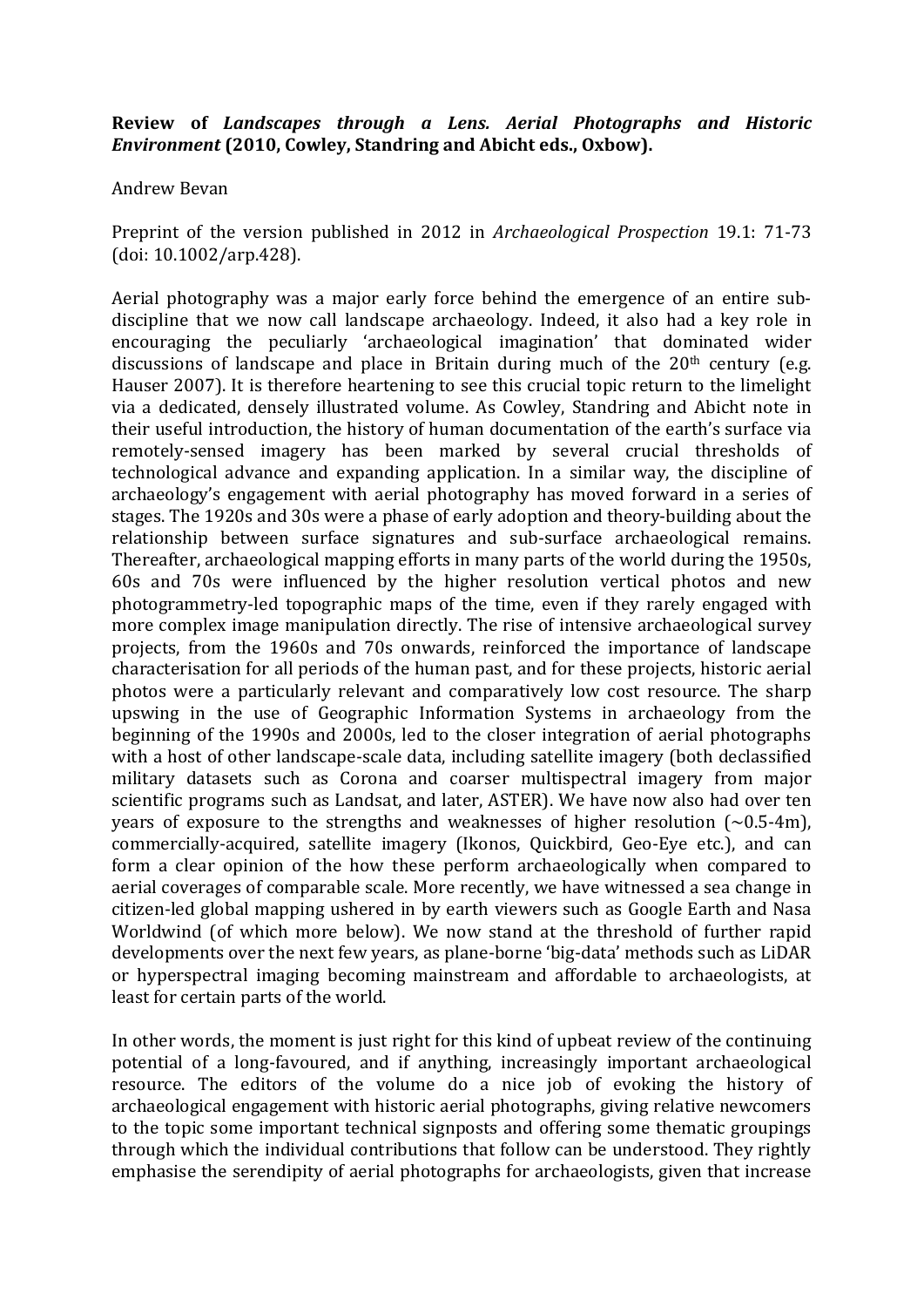## **Review& of&** *Landscapes) through) a) Lens.) Aerial) Photographs) and) Historic) Environment* (2010, Cowley, Standring and Abicht eds., Oxbow).

## Andrew!Bevan

Preprint of the version published in 2012 in *Archaeological Prospection* 19.1: 71-73 (doi:!10.1002/arp.428).

Aerial photography was a major early force behind the emergence of an entire subdiscipline that we now call landscape archaeology. Indeed, it also had a key role in encouraging the peculiarly 'archaeological imagination' that dominated wider discussions of landscape and place in Britain during much of the  $20<sup>th</sup>$  century (e.g. Hauser 2007). It is therefore heartening to see this crucial topic return to the limelight via a dedicated, densely illustrated volume. As Cowley, Standring and Abicht note in their useful introduction, the history of human documentation of the earth's surface via remotely-sensed imagery has been marked by several crucial thresholds of technological advance and expanding application. In a similar way, the discipline of archaeology's engagement with aerial photography has moved forward in a series of stages. The 1920s and 30s were a phase of early adoption and theory-building about the relationship between surface signatures and sub-surface archaeological remains. Thereafter, archaeological mapping efforts in many parts of the world during the 1950s, 60s and 70s were influenced by the higher resolution vertical photos and new photogrammetry-led topographic maps of the time, even if they rarely engaged with more complex image manipulation directly. The rise of intensive archaeological survey projects, from the 1960s and 70s onwards, reinforced the importance of landscape characterisation for all periods of the human past, and for these projects, historic aerial photos were a particularly relevant and comparatively low cost resource. The sharp upswing in the use of Geographic Information Systems in archaeology from the beginning of the 1990s and 2000s, led to the closer integration of aerial photographs with a host of other landscape-scale data, including satellite imagery (both declassified military datasets such as Corona and coarser multispectral imagery from major scientific programs such as Landsat, and later, ASTER). We have now also had over ten years of exposure to the strengths and weaknesses of higher resolution  $({\sim}0.5$ -4m), commercially-acquired, satellite imagery (Ikonos, Ouickbird, Geo-Eye etc.), and can form a clear opinion of the how these perform archaeologically when compared to aerial coverages of comparable scale. More recently, we have witnessed a sea change in citizen-led global mapping ushered in by earth viewers such as Google Earth and Nasa Worldwind (of which more below). We now stand at the threshold of further rapid developments over the next few years, as plane-borne 'big-data' methods such as LiDAR or hyperspectral imaging becoming mainstream and affordable to archaeologists, at least for certain parts of the world.

In other words, the moment is just right for this kind of upbeat review of the continuing potential of a long-favoured, and if anything, increasingly important archaeological resource. The editors of the volume do a nice job of evoking the history of archaeological engagement with historic aerial photographs, giving relative newcomers to the topic some important technical signposts and offering some thematic groupings through which the individual contributions that follow can be understood. They rightly emphasise the serendipity of aerial photographs for archaeologists, given that increase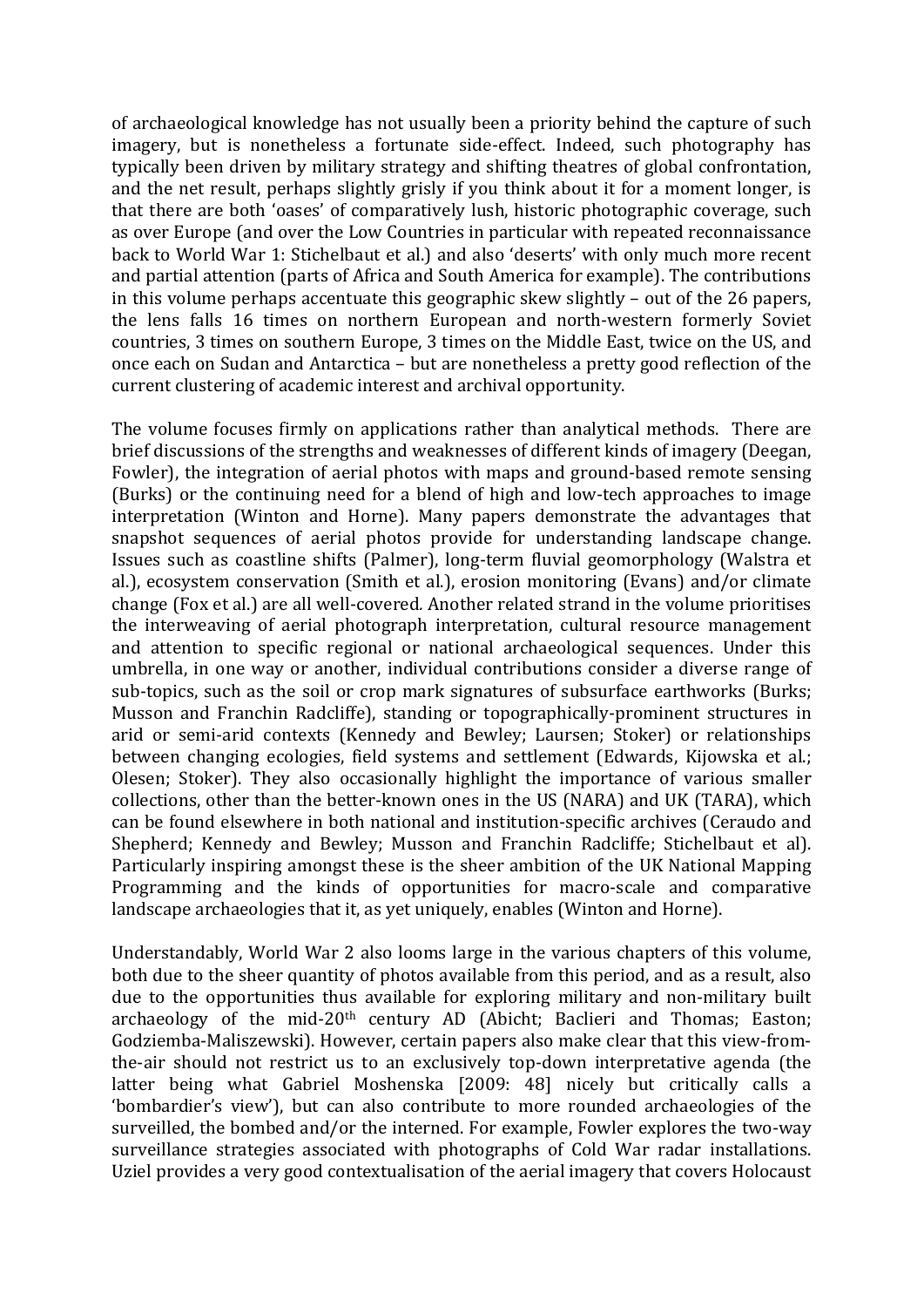of archaeological knowledge has not usually been a priority behind the capture of such imagery, but is nonetheless a fortunate side-effect. Indeed, such photography has typically been driven by military strategy and shifting theatres of global confrontation, and the net result, perhaps slightly grisly if you think about it for a moment longer, is that there are both 'oases' of comparatively lush, historic photographic coverage, such as over Europe (and over the Low Countries in particular with repeated reconnaissance back to World War 1: Stichelbaut et al.) and also 'deserts' with only much more recent and partial attention (parts of Africa and South America for example). The contributions in this volume perhaps accentuate this geographic skew slightly – out of the 26 papers, the lens falls 16 times on northern European and north-western formerly Soviet countries, 3 times on southern Europe, 3 times on the Middle East, twice on the US, and once each on Sudan and Antarctica – but are nonetheless a pretty good reflection of the current clustering of academic interest and archival opportunity.

The volume focuses firmly on applications rather than analytical methods. There are brief discussions of the strengths and weaknesses of different kinds of imagery (Deegan, Fowler), the integration of aerial photos with maps and ground-based remote sensing (Burks) or the continuing need for a blend of high and low-tech approaches to image interpretation (Winton and Horne). Many papers demonstrate the advantages that snapshot sequences of aerial photos provide for understanding landscape change. Issues such as coastline shifts (Palmer), long-term fluvial geomorphology (Walstra et al.), ecosystem conservation (Smith et al.), erosion monitoring (Evans) and/or climate change (Fox et al.) are all well-covered. Another related strand in the volume prioritises the interweaving of aerial photograph interpretation, cultural resource management and attention to specific regional or national archaeological sequences. Under this umbrella, in one way or another, individual contributions consider a diverse range of sub-topics, such as the soil or crop mark signatures of subsurface earthworks (Burks; Musson and Franchin Radcliffe), standing or topographically-prominent structures in arid or semi-arid contexts (Kennedy and Bewley; Laursen; Stoker) or relationships between changing ecologies, field systems and settlement (Edwards, Kijowska et al.; Olesen: Stoker). They also occasionally highlight the importance of various smaller collections, other than the better-known ones in the US (NARA) and UK (TARA), which can be found elsewhere in both national and institution-specific archives (Ceraudo and Shepherd: Kennedy and Bewley: Musson and Franchin Radcliffe: Stichelbaut et al). Particularly inspiring amongst these is the sheer ambition of the UK National Mapping Programming and the kinds of opportunities for macro-scale and comparative landscape archaeologies that it, as yet uniquely, enables (Winton and Horne).

Understandably, World War 2 also looms large in the various chapters of this volume, both due to the sheer quantity of photos available from this period, and as a result, also due to the opportunities thus available for exploring military and non-military built archaeology of the mid-20<sup>th</sup> century AD (Abicht; Baclieri and Thomas; Easton; Godziemba-Maliszewski). However, certain papers also make clear that this view-fromthe-air should not restrict us to an exclusively top-down interpretative agenda (the latter being what Gabriel Moshenska [2009: 48] nicely but critically calls a 'bombardier's view'), but can also contribute to more rounded archaeologies of the surveilled, the bombed and/or the interned. For example, Fowler explores the two-way surveillance strategies associated with photographs of Cold War radar installations. Uziel provides a very good contextualisation of the aerial imagery that covers Holocaust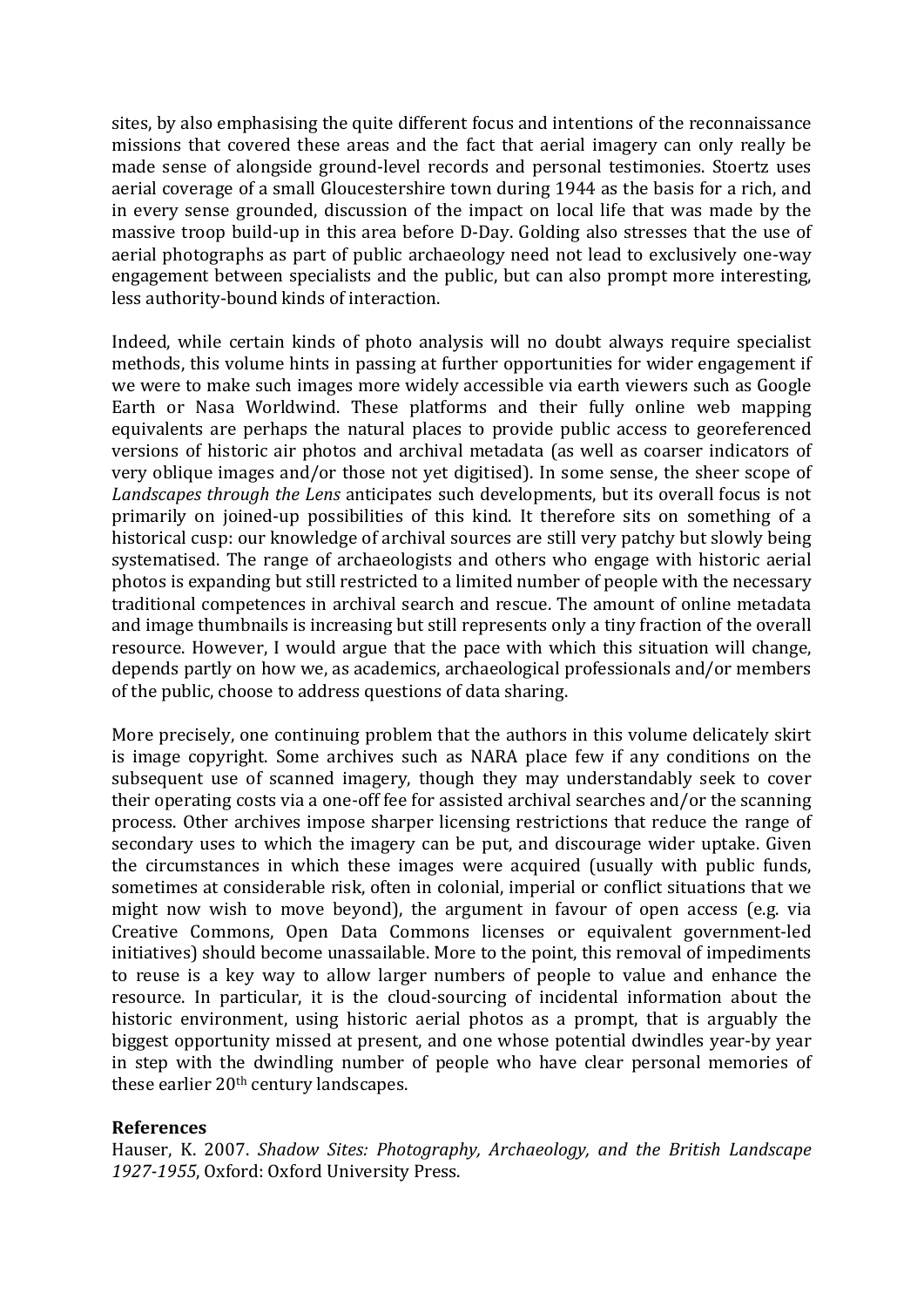sites, by also emphasising the quite different focus and intentions of the reconnaissance missions that covered these areas and the fact that aerial imagery can only really be made sense of alongside ground-level records and personal testimonies. Stoertz uses aerial coverage of a small Gloucestershire town during 1944 as the basis for a rich, and in every sense grounded, discussion of the impact on local life that was made by the massive troop build-up in this area before D-Day. Golding also stresses that the use of aerial photographs as part of public archaeology need not lead to exclusively one-way engagement between specialists and the public, but can also prompt more interesting, less authority-bound kinds of interaction.

Indeed, while certain kinds of photo analysis will no doubt always require specialist methods, this volume hints in passing at further opportunities for wider engagement if we were to make such images more widely accessible via earth viewers such as Google Earth or Nasa Worldwind. These platforms and their fully online web mapping equivalents are perhaps the natural places to provide public access to georeferenced versions of historic air photos and archival metadata (as well as coarser indicators of very oblique images and/or those not yet digitised). In some sense, the sheer scope of *Landscapes through the Lens* anticipates such developments, but its overall focus is not primarily on joined-up possibilities of this kind. It therefore sits on something of a historical cusp: our knowledge of archival sources are still very patchy but slowly being systematised. The range of archaeologists and others who engage with historic aerial photos is expanding but still restricted to a limited number of people with the necessary traditional competences in archival search and rescue. The amount of online metadata and image thumbnails is increasing but still represents only a tiny fraction of the overall resource. However, I would argue that the pace with which this situation will change, depends partly on how we, as academics, archaeological professionals and/or members of the public, choose to address questions of data sharing.

More precisely, one continuing problem that the authors in this volume delicately skirt is image copyright. Some archives such as NARA place few if any conditions on the subsequent use of scanned imagery, though they may understandably seek to cover their operating costs via a one-off fee for assisted archival searches and/or the scanning process. Other archives impose sharper licensing restrictions that reduce the range of secondary uses to which the imagery can be put, and discourage wider uptake. Given the circumstances in which these images were acquired (usually with public funds, sometimes at considerable risk, often in colonial, imperial or conflict situations that we might now wish to move beyond), the argument in favour of open access (e.g. via Creative Commons, Open Data Commons licenses or equivalent government-led initiatives) should become unassailable. More to the point, this removal of impediments to reuse is a key way to allow larger numbers of people to value and enhance the resource. In particular, it is the cloud-sourcing of incidental information about the historic environment, using historic aerial photos as a prompt, that is arguably the biggest opportunity missed at present, and one whose potential dwindles year-by year in step with the dwindling number of people who have clear personal memories of these earlier  $20<sup>th</sup>$  century landscapes.

## **References**

Hauser,! K.! 2007.! *Shadow+ Sites:+ Photography,+ Archaeology,+ and+ the+ British+ Landscape+* 1927-1955, Oxford: Oxford University Press.